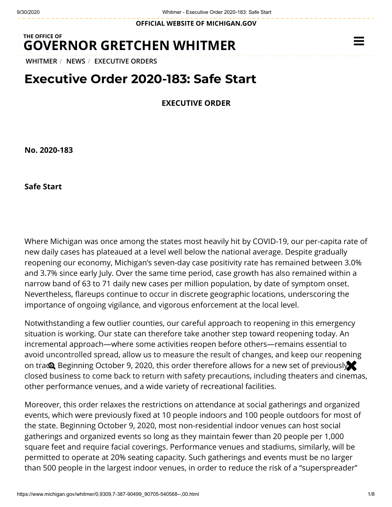**OFFICIAL WEBSITE OF [MICHIGAN.GOV](https://www.michigan.gov/)**

## **THE OFFICE OF GOVERNOR [GRETCHEN WHITMER](https://www.michigan.gov/whitmer/)**

**[WHITMER](https://www.michigan.gov/whitmer/)** / **[NEWS](https://www.michigan.gov/whitmer/0,9309,7-387-90499---,00.html)** / **[EXECUTIVE ORDERS](https://www.michigan.gov/whitmer/0,9309,7-387-90499_90705---,00.html)**

## **Executive Order 2020-183: Safe Start**

**EXECUTIVE ORDER**

**No. 2020-183**

**Safe Start**

Where Michigan was once among the states most heavily hit by COVID-19, our per-capita rate of new daily cases has plateaued at a level well below the national average. Despite gradually reopening our economy, Michigan's seven-day case positivity rate has remained between 3.0% and 3.7% since early July. Over the same time period, case growth has also remained within a narrow band of 63 to 71 daily new cases per million population, by date of symptom onset. Nevertheless, flareups continue to occur in discrete geographic locations, underscoring the importance of ongoing vigilance, and vigorous enforcement at the local level.

Notwithstanding a few outlier counties, our careful approach to reopening in this emergency situation is working. Our state can therefore take another step toward reopening today. An incremental approach—where some activities reopen before others—remains essential to avoid uncontrolled spread, allow us to measure the result of changes, and keep our reopening on trace. Beginning October 9, 2020, this order therefore allows for a new set of previously closed business to come back to return with safety precautions, including theaters and cinemas, other performance venues, and a wide variety of recreational facilities.

Moreover, this order relaxes the restrictions on attendance at social gatherings and organized events, which were previously fixed at 10 people indoors and 100 people outdoors for most of the state. Beginning October 9, 2020, most non-residential indoor venues can host social gatherings and organized events so long as they maintain fewer than 20 people per 1,000 square feet and require facial coverings. Performance venues and stadiums, similarly, will be permitted to operate at 20% seating capacity. Such gatherings and events must be no larger than 500 people in the largest indoor venues, in order to reduce the risk of a "superspreader"

 $\equiv$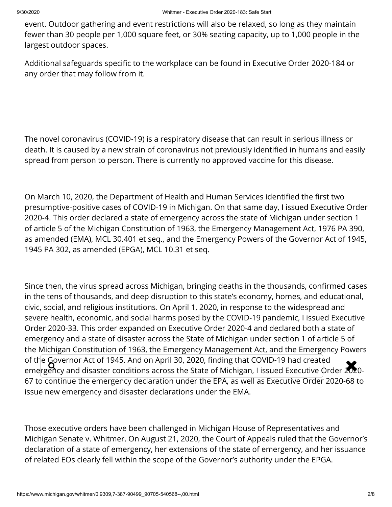event. Outdoor gathering and event restrictions will also be relaxed, so long as they maintain fewer than 30 people per 1,000 square feet, or 30% seating capacity, up to 1,000 people in the largest outdoor spaces.

Additional safeguards specific to the workplace can be found in Executive Order 2020-184 or any order that may follow from it.

The novel coronavirus (COVID-19) is a respiratory disease that can result in serious illness or death. It is caused by a new strain of coronavirus not previously identified in humans and easily spread from person to person. There is currently no approved vaccine for this disease.

On March 10, 2020, the Department of Health and Human Services identified the first two presumptive-positive cases of COVID-19 in Michigan. On that same day, I issued Executive Order 2020-4. This order declared a state of emergency across the state of Michigan under section 1 of article 5 of the Michigan Constitution of 1963, the Emergency Management Act, 1976 PA 390, as amended (EMA), MCL 30.401 et seq., and the Emergency Powers of the Governor Act of 1945, 1945 PA 302, as amended (EPGA), MCL 10.31 et seq.

Since then, the virus spread across Michigan, bringing deaths in the thousands, confirmed cases in the tens of thousands, and deep disruption to this state's economy, homes, and educational, civic, social, and religious institutions. On April 1, 2020, in response to the widespread and severe health, economic, and social harms posed by the COVID-19 pandemic, I issued Executive Order 2020-33. This order expanded on Executive Order 2020-4 and declared both a state of emergency and a state of disaster across the State of Michigan under section 1 of article 5 of the Michigan Constitution of 1963, the Emergency Management Act, and the Emergency Powers of the Governor Act of 1945. And on April 30, 2020, finding that COVID-19 had created of the Governor Act of 1945. And on April 30, 2020, finding that COVID-19 had created<br>emergency and disaster conditions across the State of Michigan, I issued Executive Order 2020-67 to continue the emergency declaration under the EPA, as well as Executive Order 2020-68 to issue new emergency and disaster declarations under the EMA.

Those executive orders have been challenged in Michigan House of Representatives and Michigan Senate v. Whitmer. On August 21, 2020, the Court of Appeals ruled that the Governor's declaration of a state of emergency, her extensions of the state of emergency, and her issuance of related EOs clearly fell within the scope of the Governor's authority under the EPGA.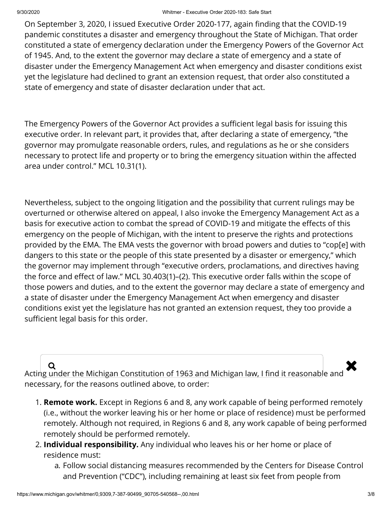On September 3, 2020, I issued Executive Order 2020-177, again finding that the COVID-19 pandemic constitutes a disaster and emergency throughout the State of Michigan. That order constituted a state of emergency declaration under the Emergency Powers of the Governor Act of 1945. And, to the extent the governor may declare a state of emergency and a state of disaster under the Emergency Management Act when emergency and disaster conditions exist yet the legislature had declined to grant an extension request, that order also constituted a state of emergency and state of disaster declaration under that act.

The Emergency Powers of the Governor Act provides a sufficient legal basis for issuing this executive order. In relevant part, it provides that, after declaring a state of emergency, "the governor may promulgate reasonable orders, rules, and regulations as he or she considers necessary to protect life and property or to bring the emergency situation within the affected area under control." MCL 10.31(1).

Nevertheless, subject to the ongoing litigation and the possibility that current rulings may be overturned or otherwise altered on appeal, I also invoke the Emergency Management Act as a basis for executive action to combat the spread of COVID-19 and mitigate the effects of this emergency on the people of Michigan, with the intent to preserve the rights and protections provided by the EMA. The EMA vests the governor with broad powers and duties to "cop[e] with dangers to this state or the people of this state presented by a disaster or emergency," which the governor may implement through "executive orders, proclamations, and directives having the force and effect of law." MCL 30.403(1)–(2). This executive order falls within the scope of those powers and duties, and to the extent the governor may declare a state of emergency and a state of disaster under the Emergency Management Act when emergency and disaster conditions exist yet the legislature has not granted an extension request, they too provide a sufficient legal basis for this order.

 $\overline{\mathbf{Q}}$   $\overline{\mathbf{Q}}$  Acting under the Michigan Constitution of 1963 and Michigan law, I find it reasonable and necessary, for the reasons outlined above, to order:

- 1. **Remote work.** Except in Regions 6 and 8, any work capable of being performed remotely (i.e., without the worker leaving his or her home or place of residence) must be performed remotely. Although not required, in Regions 6 and 8, any work capable of being performed remotely should be performed remotely.
- 2. **Individual responsibility.** Any individual who leaves his or her home or place of residence must:
	- a. Follow social distancing measures recommended by the Centers for Disease Control and Prevention ("CDC"), including remaining at least six feet from people from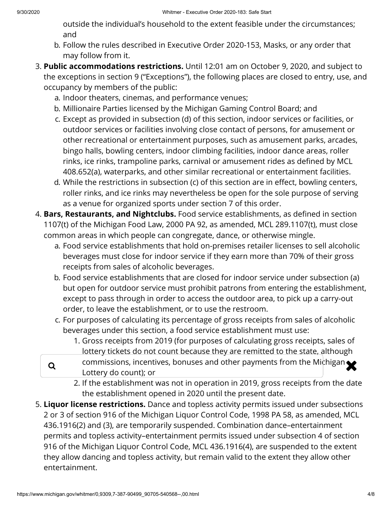outside the individual's household to the extent feasible under the circumstances; and

- b. Follow the rules described in Executive Order 2020-153, Masks, or any order that may follow from it.
- 3. **Public accommodations restrictions.** Until 12:01 am on October 9, 2020, and subject to the exceptions in section 9 ("Exceptions"), the following places are closed to entry, use, and occupancy by members of the public:
	- a. Indoor theaters, cinemas, and performance venues;
	- b. Millionaire Parties licensed by the Michigan Gaming Control Board; and
	- c. Except as provided in subsection (d) of this section, indoor services or facilities, or outdoor services or facilities involving close contact of persons, for amusement or other recreational or entertainment purposes, such as amusement parks, arcades, bingo halls, bowling centers, indoor climbing facilities, indoor dance areas, roller rinks, ice rinks, trampoline parks, carnival or amusement rides as defined by MCL 408.652(a), waterparks, and other similar recreational or entertainment facilities.
	- d. While the restrictions in subsection (c) of this section are in effect, bowling centers, roller rinks, and ice rinks may nevertheless be open for the sole purpose of serving as a venue for organized sports under section 7 of this order.
- 4. **Bars, Restaurants, and Nightclubs.** Food service establishments, as defined in section 1107(t) of the Michigan Food Law, 2000 PA 92, as amended, MCL 289.1107(t), must close common areas in which people can congregate, dance, or otherwise mingle.
	- a. Food service establishments that hold on-premises retailer licenses to sell alcoholic beverages must close for indoor service if they earn more than 70% of their gross receipts from sales of alcoholic beverages.
	- b. Food service establishments that are closed for indoor service under subsection (a) but open for outdoor service must prohibit patrons from entering the establishment, except to pass through in order to access the outdoor area, to pick up a carry-out order, to leave the establishment, or to use the restroom.
	- c. For purposes of calculating its percentage of gross receipts from sales of alcoholic beverages under this section, a food service establishment must use:
		- 1. Gross receipts from 2019 (for purposes of calculating gross receipts, sales of lottery tickets do not count because they are remitted to the state, although
	- **Q** commissions, incentives, bonuses and other payments from the Michigan **X** Lottery do count); or
		- 2. If the establishment was not in operation in 2019, gross receipts from the date the establishment opened in 2020 until the present date.
- 5. **Liquor license restrictions.** Dance and topless activity permits issued under subsections 2 or 3 of section 916 of the Michigan Liquor Control Code, 1998 PA 58, as amended, MCL 436.1916(2) and (3), are temporarily suspended. Combination dance–entertainment permits and topless activity–entertainment permits issued under subsection 4 of section 916 of the Michigan Liquor Control Code, MCL 436.1916(4), are suspended to the extent they allow dancing and topless activity, but remain valid to the extent they allow other entertainment.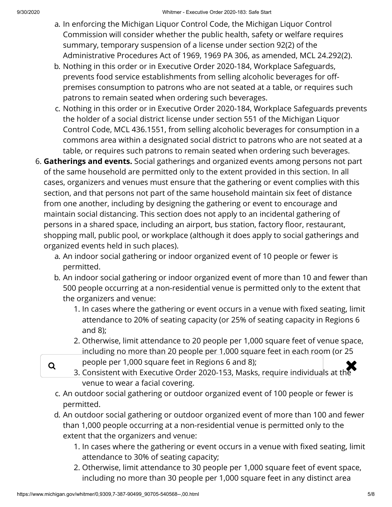- a. In enforcing the Michigan Liquor Control Code, the Michigan Liquor Control Commission will consider whether the public health, safety or welfare requires summary, temporary suspension of a license under section 92(2) of the Administrative Procedures Act of 1969, 1969 PA 306, as amended, MCL 24.292(2).
- b. Nothing in this order or in Executive Order 2020-184, Workplace Safeguards, prevents food service establishments from selling alcoholic beverages for offpremises consumption to patrons who are not seated at a table, or requires such patrons to remain seated when ordering such beverages.
- c. Nothing in this order or in Executive Order 2020-184, Workplace Safeguards prevents the holder of a social district license under section 551 of the Michigan Liquor Control Code, MCL 436.1551, from selling alcoholic beverages for consumption in a commons area within a designated social district to patrons who are not seated at a table, or requires such patrons to remain seated when ordering such beverages.
- 6. **Gatherings and events.** Social gatherings and organized events among persons not part of the same household are permitted only to the extent provided in this section. In all cases, organizers and venues must ensure that the gathering or event complies with this section, and that persons not part of the same household maintain six feet of distance from one another, including by designing the gathering or event to encourage and maintain social distancing. This section does not apply to an incidental gathering of persons in a shared space, including an airport, bus station, factory floor, restaurant, shopping mall, public pool, or workplace (although it does apply to social gatherings and organized events held in such places).
	- a. An indoor social gathering or indoor organized event of 10 people or fewer is permitted.
	- b. An indoor social gathering or indoor organized event of more than 10 and fewer than 500 people occurring at a non-residential venue is permitted only to the extent that the organizers and venue:
		- 1. In cases where the gathering or event occurs in a venue with fixed seating, limit attendance to 20% of seating capacity (or 25% of seating capacity in Regions 6 and 8);
		- 2. Otherwise, limit attendance to 20 people per 1,000 square feet of venue space, including no more than 20 people per 1,000 square feet in each room (or 25
		- people per 1,000 square feet in Regions 6 and 8);
	- $\alpha$  people per 1,000 square feet in Regions 6 and 8);<br>3. Consistent with Executive Order 2020-153, Masks, require individuals at the venue to wear a facial covering.
		- c. An outdoor social gathering or outdoor organized event of 100 people or fewer is permitted.
		- d. An outdoor social gathering or outdoor organized event of more than 100 and fewer than 1,000 people occurring at a non-residential venue is permitted only to the extent that the organizers and venue:
			- 1. In cases where the gathering or event occurs in a venue with fixed seating, limit attendance to 30% of seating capacity;
			- 2. Otherwise, limit attendance to 30 people per 1,000 square feet of event space, including no more than 30 people per 1,000 square feet in any distinct area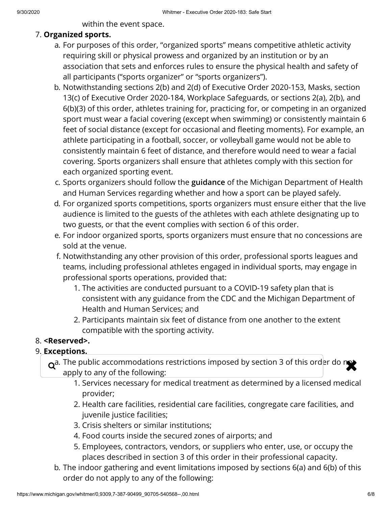within the event space.

## 7. **Organized sports.**

- a. For purposes of this order, "organized sports" means competitive athletic activity requiring skill or physical prowess and organized by an institution or by an association that sets and enforces rules to ensure the physical health and safety of all participants ("sports organizer" or "sports organizers").
- b. Notwithstanding sections 2(b) and 2(d) of Executive Order 2020-153, Masks, section 13(c) of Executive Order 2020-184, Workplace Safeguards, or sections 2(a), 2(b), and 6(b)(3) of this order, athletes training for, practicing for, or competing in an organized sport must wear a facial covering (except when swimming) or consistently maintain 6 feet of social distance (except for occasional and fleeting moments). For example, an athlete participating in a football, soccer, or volleyball game would not be able to consistently maintain 6 feet of distance, and therefore would need to wear a facial covering. Sports organizers shall ensure that athletes comply with this section for each organized sporting event.
- c. Sports organizers should follow the **[guidance](https://www.michigan.gov/documents/coronavirus/Public_Guidance_for_Contact_Sports_701311_7.pdf)** of the Michigan Department of Health and Human Services regarding whether and how a sport can be played safely.
- d. For organized sports competitions, sports organizers must ensure either that the live audience is limited to the guests of the athletes with each athlete designating up to two guests, or that the event complies with section 6 of this order.
- e. For indoor organized sports, sports organizers must ensure that no concessions are sold at the venue.
- f. Notwithstanding any other provision of this order, professional sports leagues and teams, including professional athletes engaged in individual sports, may engage in professional sports operations, provided that:
	- 1. The activities are conducted pursuant to a COVID-19 safety plan that is consistent with any guidance from the CDC and the Michigan Department of Health and Human Services; and
	- 2. Participants maintain six feet of distance from one another to the extent compatible with the sporting activity.
- 8. **<Reserved>.**
- 9. **Exceptions.**

 $\alpha^{a}$ . The public accommodations restrictions imposed by section 3 of this order do not apply to any of the following:

- 1. Services necessary for medical treatment as determined by a licensed medical provider;
- 2. Health care facilities, residential care facilities, congregate care facilities, and juvenile justice facilities;
- 3. Crisis shelters or similar institutions;
- 4. Food courts inside the secured zones of airports; and
- 5. Employees, contractors, vendors, or suppliers who enter, use, or occupy the places described in section 3 of this order in their professional capacity.
- b. The indoor gathering and event limitations imposed by sections 6(a) and 6(b) of this order do not apply to any of the following: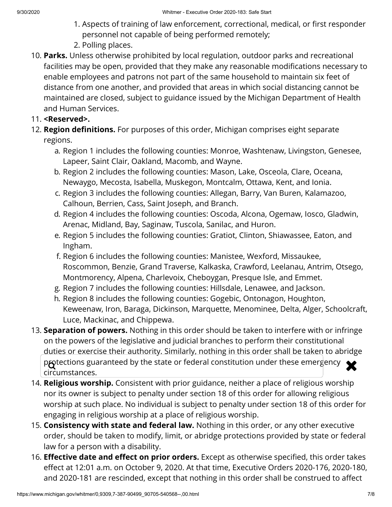- 1. Aspects of training of law enforcement, correctional, medical, or first responder personnel not capable of being performed remotely;
- 2. Polling places.
- 10. **Parks.** Unless otherwise prohibited by local regulation, outdoor parks and recreational facilities may be open, provided that they make any reasonable modifications necessary to enable employees and patrons not part of the same household to maintain six feet of distance from one another, and provided that areas in which social distancing cannot be maintained are closed, subject to guidance issued by the Michigan Department of Health and Human Services.
- 11. **<Reserved>.**
- 12. **Region definitions.** For purposes of this order, Michigan comprises eight separate regions.
	- a. Region 1 includes the following counties: Monroe, Washtenaw, Livingston, Genesee, Lapeer, Saint Clair, Oakland, Macomb, and Wayne.
	- b. Region 2 includes the following counties: Mason, Lake, Osceola, Clare, Oceana, Newaygo, Mecosta, Isabella, Muskegon, Montcalm, Ottawa, Kent, and Ionia.
	- c. Region 3 includes the following counties: Allegan, Barry, Van Buren, Kalamazoo, Calhoun, Berrien, Cass, Saint Joseph, and Branch.
	- d. Region 4 includes the following counties: Oscoda, Alcona, Ogemaw, Iosco, Gladwin, Arenac, Midland, Bay, Saginaw, Tuscola, Sanilac, and Huron.
	- e. Region 5 includes the following counties: Gratiot, Clinton, Shiawassee, Eaton, and Ingham.
	- f. Region 6 includes the following counties: Manistee, Wexford, Missaukee, Roscommon, Benzie, Grand Traverse, Kalkaska, Crawford, Leelanau, Antrim, Otsego, Montmorency, Alpena, Charlevoix, Cheboygan, Presque Isle, and Emmet.
	- g. Region 7 includes the following counties: Hillsdale, Lenawee, and Jackson.
	- h. Region 8 includes the following counties: Gogebic, Ontonagon, Houghton, Keweenaw, Iron, Baraga, Dickinson, Marquette, Menominee, Delta, Alger, Schoolcraft, Luce, Mackinac, and Chippewa.
- 13. **Separation of powers.** Nothing in this order should be taken to interfere with or infringe on the powers of the legislative and judicial branches to perform their constitutional duties or exercise their authority. Similarly, nothing in this order shall be taken to abridge protections guaranteed by the state or federal constitution under these emergency  $\bigtimes$ circumstances.
- 14. **Religious worship.** Consistent with prior guidance, neither a place of religious worship nor its owner is subject to penalty under section 18 of this order for allowing religious worship at such place. No individual is subject to penalty under section 18 of this order for engaging in religious worship at a place of religious worship.
- 15. **Consistency with state and federal law.** Nothing in this order, or any other executive order, should be taken to modify, limit, or abridge protections provided by state or federal law for a person with a disability.
- 16. **Effective date and effect on prior orders.** Except as otherwise specified, this order takes effect at 12:01 a.m. on October 9, 2020. At that time, Executive Orders 2020-176, 2020-180, and 2020-181 are rescinded, except that nothing in this order shall be construed to affect